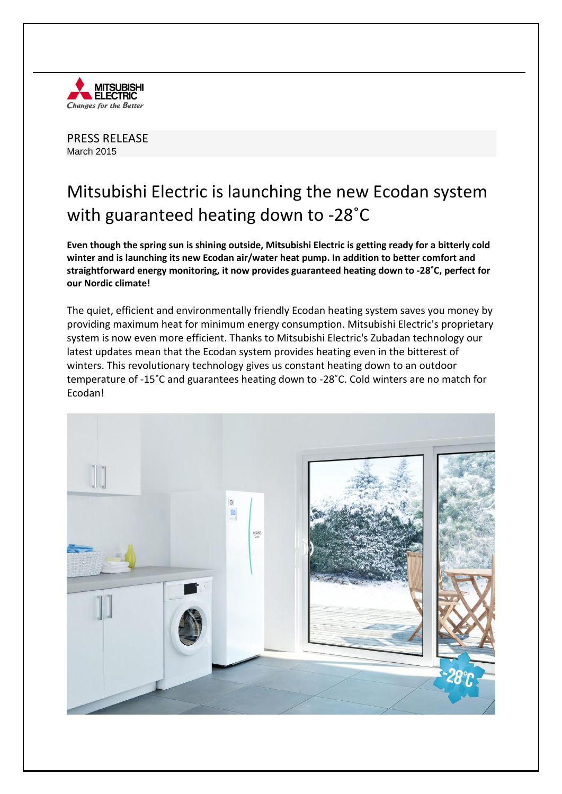

PRESS RELEASE March 2015

## Mitsubishi Electric is launching the new Ecodan system with guaranteed heating down to -28˚C

**Even though the spring sun is shining outside, Mitsubishi Electric is getting ready for a bitterly cold winter and is launching its new Ecodan air/water heat pump. In addition to better comfort and straightforward energy monitoring, it now provides guaranteed heating down to -28˚C, perfect for our Nordic climate!** 

The quiet, efficient and environmentally friendly Ecodan heating system saves you money by providing maximum heat for minimum energy consumption. Mitsubishi Electric's proprietary system is now even more efficient. Thanks to Mitsubishi Electric's Zubadan technology our latest updates mean that the Ecodan system provides heating even in the bitterest of winters. This revolutionary technology gives us constant heating down to an outdoor temperature of -15˚C and guarantees heating down to -28˚C. Cold winters are no match for Ecodan!